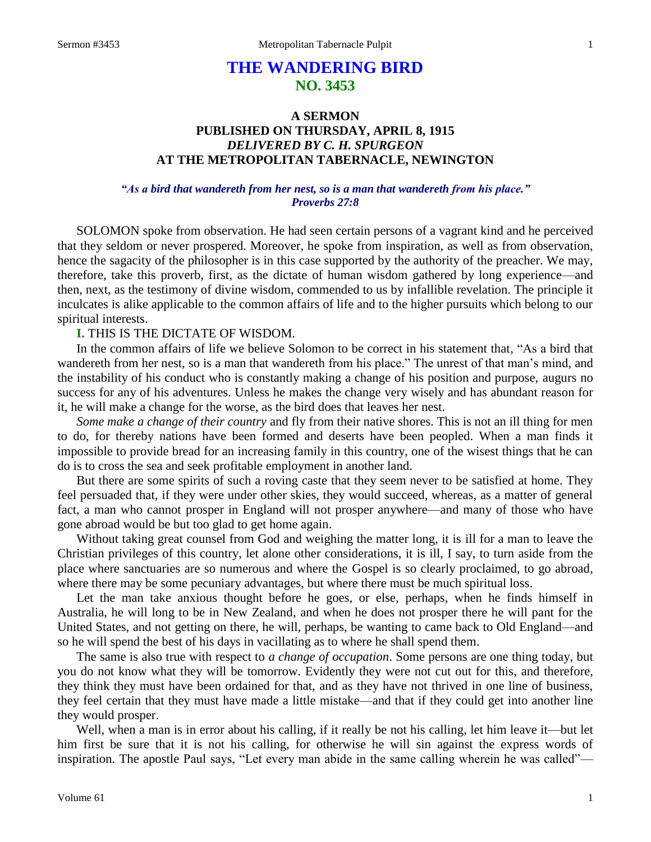# **THE WANDERING BIRD NO. 3453**

# **A SERMON PUBLISHED ON THURSDAY, APRIL 8, 1915** *DELIVERED BY C. H. SPURGEON* **AT THE METROPOLITAN TABERNACLE, NEWINGTON**

# *"As a bird that wandereth from her nest, so is a man that wandereth from his place." Proverbs 27:8*

SOLOMON spoke from observation. He had seen certain persons of a vagrant kind and he perceived that they seldom or never prospered. Moreover, he spoke from inspiration, as well as from observation, hence the sagacity of the philosopher is in this case supported by the authority of the preacher. We may, therefore, take this proverb, first, as the dictate of human wisdom gathered by long experience—and then, next, as the testimony of divine wisdom, commended to us by infallible revelation. The principle it inculcates is alike applicable to the common affairs of life and to the higher pursuits which belong to our spiritual interests.

# **I.** THIS IS THE DICTATE OF WISDOM.

In the common affairs of life we believe Solomon to be correct in his statement that, "As a bird that wandereth from her nest, so is a man that wandereth from his place." The unrest of that man's mind, and the instability of his conduct who is constantly making a change of his position and purpose, augurs no success for any of his adventures. Unless he makes the change very wisely and has abundant reason for it, he will make a change for the worse, as the bird does that leaves her nest.

*Some make a change of their country* and fly from their native shores. This is not an ill thing for men to do, for thereby nations have been formed and deserts have been peopled. When a man finds it impossible to provide bread for an increasing family in this country, one of the wisest things that he can do is to cross the sea and seek profitable employment in another land.

But there are some spirits of such a roving caste that they seem never to be satisfied at home. They feel persuaded that, if they were under other skies, they would succeed, whereas, as a matter of general fact, a man who cannot prosper in England will not prosper anywhere—and many of those who have gone abroad would be but too glad to get home again.

Without taking great counsel from God and weighing the matter long, it is ill for a man to leave the Christian privileges of this country, let alone other considerations, it is ill, I say, to turn aside from the place where sanctuaries are so numerous and where the Gospel is so clearly proclaimed, to go abroad, where there may be some pecuniary advantages, but where there must be much spiritual loss.

Let the man take anxious thought before he goes, or else, perhaps, when he finds himself in Australia, he will long to be in New Zealand, and when he does not prosper there he will pant for the United States, and not getting on there, he will, perhaps, be wanting to came back to Old England—and so he will spend the best of his days in vacillating as to where he shall spend them.

The same is also true with respect to *a change of occupation*. Some persons are one thing today, but you do not know what they will be tomorrow. Evidently they were not cut out for this, and therefore, they think they must have been ordained for that, and as they have not thrived in one line of business, they feel certain that they must have made a little mistake—and that if they could get into another line they would prosper.

Well, when a man is in error about his calling, if it really be not his calling, let him leave it—but let him first be sure that it is not his calling, for otherwise he will sin against the express words of inspiration. The apostle Paul says, "Let every man abide in the same calling wherein he was called"—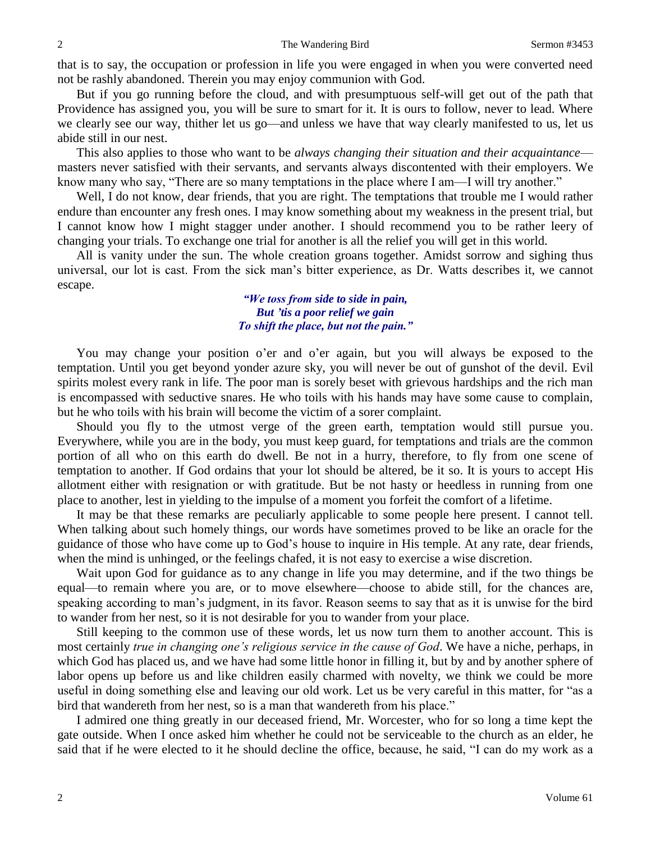that is to say, the occupation or profession in life you were engaged in when you were converted need not be rashly abandoned. Therein you may enjoy communion with God.

But if you go running before the cloud, and with presumptuous self-will get out of the path that Providence has assigned you, you will be sure to smart for it. It is ours to follow, never to lead. Where we clearly see our way, thither let us go—and unless we have that way clearly manifested to us, let us abide still in our nest.

This also applies to those who want to be *always changing their situation and their acquaintance* masters never satisfied with their servants, and servants always discontented with their employers. We know many who say, "There are so many temptations in the place where I am—I will try another."

Well, I do not know, dear friends, that you are right. The temptations that trouble me I would rather endure than encounter any fresh ones. I may know something about my weakness in the present trial, but I cannot know how I might stagger under another. I should recommend you to be rather leery of changing your trials. To exchange one trial for another is all the relief you will get in this world.

All is vanity under the sun. The whole creation groans together. Amidst sorrow and sighing thus universal, our lot is cast. From the sick man's bitter experience, as Dr. Watts describes it, we cannot escape.

> *"We toss from side to side in pain, But 'tis a poor relief we gain To shift the place, but not the pain."*

You may change your position o'er and o'er again, but you will always be exposed to the temptation. Until you get beyond yonder azure sky, you will never be out of gunshot of the devil. Evil spirits molest every rank in life. The poor man is sorely beset with grievous hardships and the rich man is encompassed with seductive snares. He who toils with his hands may have some cause to complain, but he who toils with his brain will become the victim of a sorer complaint.

Should you fly to the utmost verge of the green earth, temptation would still pursue you. Everywhere, while you are in the body, you must keep guard, for temptations and trials are the common portion of all who on this earth do dwell. Be not in a hurry, therefore, to fly from one scene of temptation to another. If God ordains that your lot should be altered, be it so. It is yours to accept His allotment either with resignation or with gratitude. But be not hasty or heedless in running from one place to another, lest in yielding to the impulse of a moment you forfeit the comfort of a lifetime.

It may be that these remarks are peculiarly applicable to some people here present. I cannot tell. When talking about such homely things, our words have sometimes proved to be like an oracle for the guidance of those who have come up to God's house to inquire in His temple. At any rate, dear friends, when the mind is unhinged, or the feelings chafed, it is not easy to exercise a wise discretion.

Wait upon God for guidance as to any change in life you may determine, and if the two things be equal—to remain where you are, or to move elsewhere—choose to abide still, for the chances are, speaking according to man's judgment, in its favor. Reason seems to say that as it is unwise for the bird to wander from her nest, so it is not desirable for you to wander from your place.

Still keeping to the common use of these words, let us now turn them to another account. This is most certainly *true in changing one's religious service in the cause of God*. We have a niche, perhaps, in which God has placed us, and we have had some little honor in filling it, but by and by another sphere of labor opens up before us and like children easily charmed with novelty, we think we could be more useful in doing something else and leaving our old work. Let us be very careful in this matter, for "as a bird that wandereth from her nest, so is a man that wandereth from his place."

I admired one thing greatly in our deceased friend, Mr. Worcester, who for so long a time kept the gate outside. When I once asked him whether he could not be serviceable to the church as an elder, he said that if he were elected to it he should decline the office, because, he said, "I can do my work as a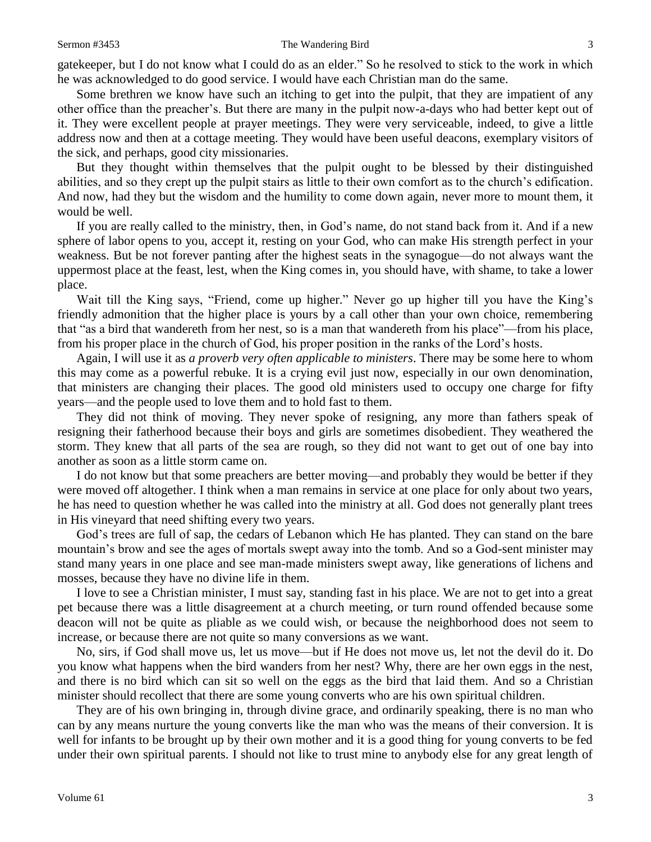#### Sermon #3453 The Wandering Bird 3

gatekeeper, but I do not know what I could do as an elder." So he resolved to stick to the work in which he was acknowledged to do good service. I would have each Christian man do the same.

Some brethren we know have such an itching to get into the pulpit, that they are impatient of any other office than the preacher's. But there are many in the pulpit now-a-days who had better kept out of it. They were excellent people at prayer meetings. They were very serviceable, indeed, to give a little address now and then at a cottage meeting. They would have been useful deacons, exemplary visitors of the sick, and perhaps, good city missionaries.

But they thought within themselves that the pulpit ought to be blessed by their distinguished abilities, and so they crept up the pulpit stairs as little to their own comfort as to the church's edification. And now, had they but the wisdom and the humility to come down again, never more to mount them, it would be well.

If you are really called to the ministry, then, in God's name, do not stand back from it. And if a new sphere of labor opens to you, accept it, resting on your God, who can make His strength perfect in your weakness. But be not forever panting after the highest seats in the synagogue—do not always want the uppermost place at the feast, lest, when the King comes in, you should have, with shame, to take a lower place.

Wait till the King says, "Friend, come up higher." Never go up higher till you have the King's friendly admonition that the higher place is yours by a call other than your own choice, remembering that "as a bird that wandereth from her nest, so is a man that wandereth from his place"—from his place, from his proper place in the church of God, his proper position in the ranks of the Lord's hosts.

Again, I will use it as *a proverb very often applicable to ministers*. There may be some here to whom this may come as a powerful rebuke. It is a crying evil just now, especially in our own denomination, that ministers are changing their places. The good old ministers used to occupy one charge for fifty years—and the people used to love them and to hold fast to them.

They did not think of moving. They never spoke of resigning, any more than fathers speak of resigning their fatherhood because their boys and girls are sometimes disobedient. They weathered the storm. They knew that all parts of the sea are rough, so they did not want to get out of one bay into another as soon as a little storm came on.

I do not know but that some preachers are better moving—and probably they would be better if they were moved off altogether. I think when a man remains in service at one place for only about two years, he has need to question whether he was called into the ministry at all. God does not generally plant trees in His vineyard that need shifting every two years.

God's trees are full of sap, the cedars of Lebanon which He has planted. They can stand on the bare mountain's brow and see the ages of mortals swept away into the tomb. And so a God-sent minister may stand many years in one place and see man-made ministers swept away, like generations of lichens and mosses, because they have no divine life in them.

I love to see a Christian minister, I must say, standing fast in his place. We are not to get into a great pet because there was a little disagreement at a church meeting, or turn round offended because some deacon will not be quite as pliable as we could wish, or because the neighborhood does not seem to increase, or because there are not quite so many conversions as we want.

No, sirs, if God shall move us, let us move—but if He does not move us, let not the devil do it. Do you know what happens when the bird wanders from her nest? Why, there are her own eggs in the nest, and there is no bird which can sit so well on the eggs as the bird that laid them. And so a Christian minister should recollect that there are some young converts who are his own spiritual children.

They are of his own bringing in, through divine grace, and ordinarily speaking, there is no man who can by any means nurture the young converts like the man who was the means of their conversion. It is well for infants to be brought up by their own mother and it is a good thing for young converts to be fed under their own spiritual parents. I should not like to trust mine to anybody else for any great length of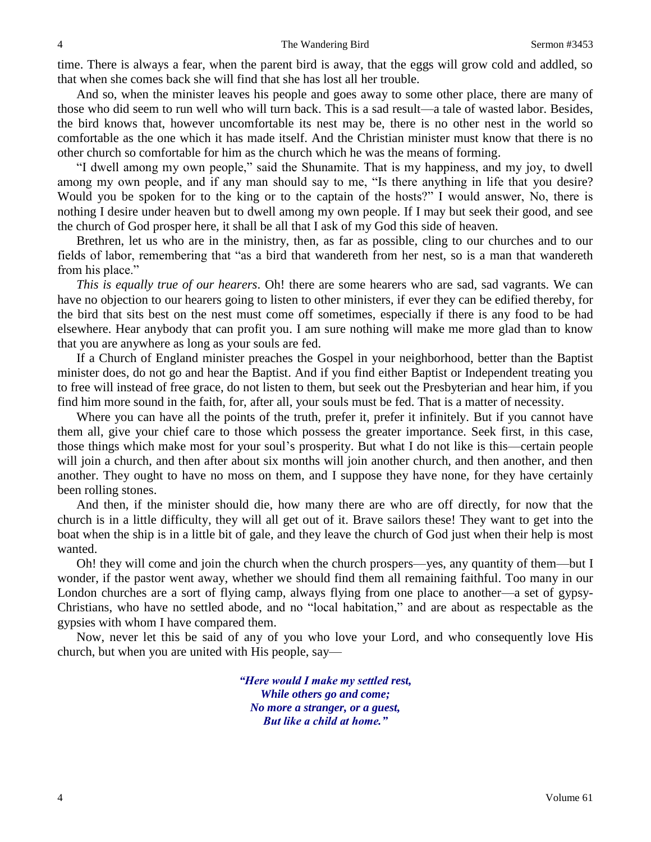time. There is always a fear, when the parent bird is away, that the eggs will grow cold and addled, so that when she comes back she will find that she has lost all her trouble.

And so, when the minister leaves his people and goes away to some other place, there are many of those who did seem to run well who will turn back. This is a sad result—a tale of wasted labor. Besides, the bird knows that, however uncomfortable its nest may be, there is no other nest in the world so comfortable as the one which it has made itself. And the Christian minister must know that there is no other church so comfortable for him as the church which he was the means of forming.

"I dwell among my own people," said the Shunamite. That is my happiness, and my joy, to dwell among my own people, and if any man should say to me, "Is there anything in life that you desire? Would you be spoken for to the king or to the captain of the hosts?" I would answer, No, there is nothing I desire under heaven but to dwell among my own people. If I may but seek their good, and see the church of God prosper here, it shall be all that I ask of my God this side of heaven.

Brethren, let us who are in the ministry, then, as far as possible, cling to our churches and to our fields of labor, remembering that "as a bird that wandereth from her nest, so is a man that wandereth from his place."

*This is equally true of our hearers*. Oh! there are some hearers who are sad, sad vagrants. We can have no objection to our hearers going to listen to other ministers, if ever they can be edified thereby, for the bird that sits best on the nest must come off sometimes, especially if there is any food to be had elsewhere. Hear anybody that can profit you. I am sure nothing will make me more glad than to know that you are anywhere as long as your souls are fed.

If a Church of England minister preaches the Gospel in your neighborhood, better than the Baptist minister does, do not go and hear the Baptist. And if you find either Baptist or Independent treating you to free will instead of free grace, do not listen to them, but seek out the Presbyterian and hear him, if you find him more sound in the faith, for, after all, your souls must be fed. That is a matter of necessity.

Where you can have all the points of the truth, prefer it, prefer it infinitely. But if you cannot have them all, give your chief care to those which possess the greater importance. Seek first, in this case, those things which make most for your soul's prosperity. But what I do not like is this—certain people will join a church, and then after about six months will join another church, and then another, and then another. They ought to have no moss on them, and I suppose they have none, for they have certainly been rolling stones.

And then, if the minister should die, how many there are who are off directly, for now that the church is in a little difficulty, they will all get out of it. Brave sailors these! They want to get into the boat when the ship is in a little bit of gale, and they leave the church of God just when their help is most wanted.

Oh! they will come and join the church when the church prospers—yes, any quantity of them—but I wonder, if the pastor went away, whether we should find them all remaining faithful. Too many in our London churches are a sort of flying camp, always flying from one place to another—a set of gypsy-Christians, who have no settled abode, and no "local habitation," and are about as respectable as the gypsies with whom I have compared them.

Now, never let this be said of any of you who love your Lord, and who consequently love His church, but when you are united with His people, say—

> *"Here would I make my settled rest, While others go and come; No more a stranger, or a guest, But like a child at home."*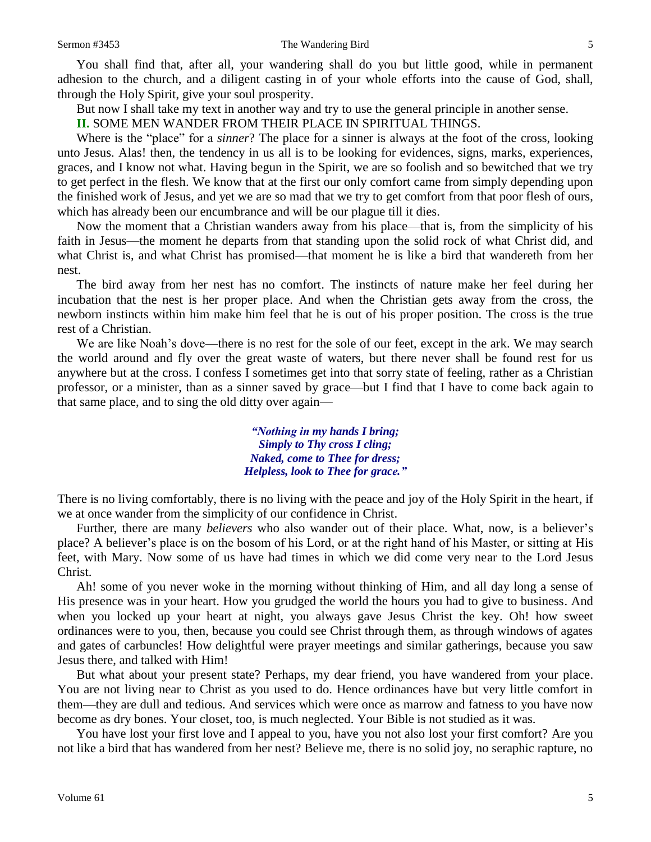You shall find that, after all, your wandering shall do you but little good, while in permanent adhesion to the church, and a diligent casting in of your whole efforts into the cause of God, shall, through the Holy Spirit, give your soul prosperity.

But now I shall take my text in another way and try to use the general principle in another sense.

**II.** SOME MEN WANDER FROM THEIR PLACE IN SPIRITUAL THINGS.

Where is the "place" for a *sinner*? The place for a sinner is always at the foot of the cross, looking unto Jesus. Alas! then, the tendency in us all is to be looking for evidences, signs, marks, experiences, graces, and I know not what. Having begun in the Spirit, we are so foolish and so bewitched that we try to get perfect in the flesh. We know that at the first our only comfort came from simply depending upon the finished work of Jesus, and yet we are so mad that we try to get comfort from that poor flesh of ours, which has already been our encumbrance and will be our plague till it dies.

Now the moment that a Christian wanders away from his place—that is, from the simplicity of his faith in Jesus—the moment he departs from that standing upon the solid rock of what Christ did, and what Christ is, and what Christ has promised—that moment he is like a bird that wandereth from her nest.

The bird away from her nest has no comfort. The instincts of nature make her feel during her incubation that the nest is her proper place. And when the Christian gets away from the cross, the newborn instincts within him make him feel that he is out of his proper position. The cross is the true rest of a Christian.

We are like Noah's dove—there is no rest for the sole of our feet, except in the ark. We may search the world around and fly over the great waste of waters, but there never shall be found rest for us anywhere but at the cross. I confess I sometimes get into that sorry state of feeling, rather as a Christian professor, or a minister, than as a sinner saved by grace—but I find that I have to come back again to that same place, and to sing the old ditty over again—

> *"Nothing in my hands I bring; Simply to Thy cross I cling; Naked, come to Thee for dress; Helpless, look to Thee for grace."*

There is no living comfortably, there is no living with the peace and joy of the Holy Spirit in the heart, if we at once wander from the simplicity of our confidence in Christ.

Further, there are many *believers* who also wander out of their place. What, now, is a believer's place? A believer's place is on the bosom of his Lord, or at the right hand of his Master, or sitting at His feet, with Mary. Now some of us have had times in which we did come very near to the Lord Jesus Christ.

Ah! some of you never woke in the morning without thinking of Him, and all day long a sense of His presence was in your heart. How you grudged the world the hours you had to give to business. And when you locked up your heart at night, you always gave Jesus Christ the key. Oh! how sweet ordinances were to you, then, because you could see Christ through them, as through windows of agates and gates of carbuncles! How delightful were prayer meetings and similar gatherings, because you saw Jesus there, and talked with Him!

But what about your present state? Perhaps, my dear friend, you have wandered from your place. You are not living near to Christ as you used to do. Hence ordinances have but very little comfort in them—they are dull and tedious. And services which were once as marrow and fatness to you have now become as dry bones. Your closet, too, is much neglected. Your Bible is not studied as it was.

You have lost your first love and I appeal to you, have you not also lost your first comfort? Are you not like a bird that has wandered from her nest? Believe me, there is no solid joy, no seraphic rapture, no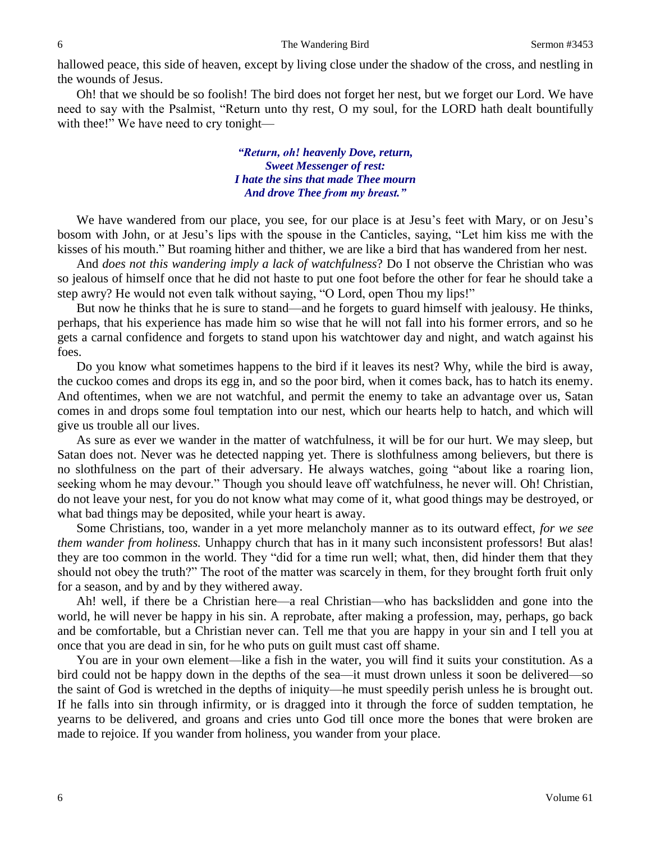hallowed peace, this side of heaven, except by living close under the shadow of the cross, and nestling in the wounds of Jesus.

Oh! that we should be so foolish! The bird does not forget her nest, but we forget our Lord. We have need to say with the Psalmist, "Return unto thy rest, O my soul, for the LORD hath dealt bountifully with thee!" We have need to cry tonight—

> *"Return, oh! heavenly Dove, return, Sweet Messenger of rest: I hate the sins that made Thee mourn And drove Thee from my breast."*

We have wandered from our place, you see, for our place is at Jesu's feet with Mary, or on Jesu's bosom with John, or at Jesu's lips with the spouse in the Canticles, saying, "Let him kiss me with the kisses of his mouth." But roaming hither and thither, we are like a bird that has wandered from her nest.

And *does not this wandering imply a lack of watchfulness*? Do I not observe the Christian who was so jealous of himself once that he did not haste to put one foot before the other for fear he should take a step awry? He would not even talk without saying, "O Lord, open Thou my lips!"

But now he thinks that he is sure to stand—and he forgets to guard himself with jealousy. He thinks, perhaps, that his experience has made him so wise that he will not fall into his former errors, and so he gets a carnal confidence and forgets to stand upon his watchtower day and night, and watch against his foes.

Do you know what sometimes happens to the bird if it leaves its nest? Why, while the bird is away, the cuckoo comes and drops its egg in, and so the poor bird, when it comes back, has to hatch its enemy. And oftentimes, when we are not watchful, and permit the enemy to take an advantage over us, Satan comes in and drops some foul temptation into our nest, which our hearts help to hatch, and which will give us trouble all our lives.

As sure as ever we wander in the matter of watchfulness, it will be for our hurt. We may sleep, but Satan does not. Never was he detected napping yet. There is slothfulness among believers, but there is no slothfulness on the part of their adversary. He always watches, going "about like a roaring lion, seeking whom he may devour." Though you should leave off watchfulness, he never will. Oh! Christian, do not leave your nest, for you do not know what may come of it, what good things may be destroyed, or what bad things may be deposited, while your heart is away.

Some Christians, too, wander in a yet more melancholy manner as to its outward effect, *for we see them wander from holiness.* Unhappy church that has in it many such inconsistent professors! But alas! they are too common in the world. They "did for a time run well; what, then, did hinder them that they should not obey the truth?" The root of the matter was scarcely in them, for they brought forth fruit only for a season, and by and by they withered away.

Ah! well, if there be a Christian here—a real Christian—who has backslidden and gone into the world, he will never be happy in his sin. A reprobate, after making a profession, may, perhaps, go back and be comfortable, but a Christian never can. Tell me that you are happy in your sin and I tell you at once that you are dead in sin, for he who puts on guilt must cast off shame.

You are in your own element—like a fish in the water, you will find it suits your constitution. As a bird could not be happy down in the depths of the sea—it must drown unless it soon be delivered—so the saint of God is wretched in the depths of iniquity—he must speedily perish unless he is brought out. If he falls into sin through infirmity, or is dragged into it through the force of sudden temptation, he yearns to be delivered, and groans and cries unto God till once more the bones that were broken are made to rejoice. If you wander from holiness, you wander from your place.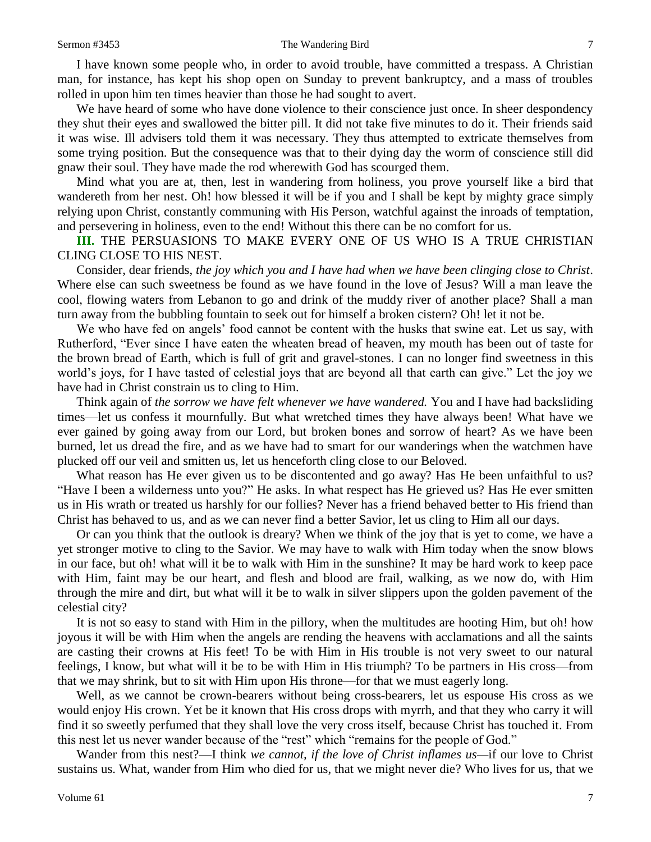### Sermon #3453 The Wandering Bird 7

I have known some people who, in order to avoid trouble, have committed a trespass. A Christian man, for instance, has kept his shop open on Sunday to prevent bankruptcy, and a mass of troubles rolled in upon him ten times heavier than those he had sought to avert.

We have heard of some who have done violence to their conscience just once. In sheer despondency they shut their eyes and swallowed the bitter pill. It did not take five minutes to do it. Their friends said it was wise. Ill advisers told them it was necessary. They thus attempted to extricate themselves from some trying position. But the consequence was that to their dying day the worm of conscience still did gnaw their soul. They have made the rod wherewith God has scourged them.

Mind what you are at, then, lest in wandering from holiness, you prove yourself like a bird that wandereth from her nest. Oh! how blessed it will be if you and I shall be kept by mighty grace simply relying upon Christ, constantly communing with His Person, watchful against the inroads of temptation, and persevering in holiness, even to the end! Without this there can be no comfort for us.

**III.** THE PERSUASIONS TO MAKE EVERY ONE OF US WHO IS A TRUE CHRISTIAN CLING CLOSE TO HIS NEST.

Consider, dear friends, *the joy which you and I have had when we have been clinging close to Christ*. Where else can such sweetness be found as we have found in the love of Jesus? Will a man leave the cool, flowing waters from Lebanon to go and drink of the muddy river of another place? Shall a man turn away from the bubbling fountain to seek out for himself a broken cistern? Oh! let it not be.

We who have fed on angels' food cannot be content with the husks that swine eat. Let us say, with Rutherford, "Ever since I have eaten the wheaten bread of heaven, my mouth has been out of taste for the brown bread of Earth, which is full of grit and gravel-stones. I can no longer find sweetness in this world's joys, for I have tasted of celestial joys that are beyond all that earth can give." Let the joy we have had in Christ constrain us to cling to Him.

Think again of *the sorrow we have felt whenever we have wandered.* You and I have had backsliding times—let us confess it mournfully. But what wretched times they have always been! What have we ever gained by going away from our Lord, but broken bones and sorrow of heart? As we have been burned, let us dread the fire, and as we have had to smart for our wanderings when the watchmen have plucked off our veil and smitten us, let us henceforth cling close to our Beloved.

What reason has He ever given us to be discontented and go away? Has He been unfaithful to us? "Have I been a wilderness unto you?" He asks. In what respect has He grieved us? Has He ever smitten us in His wrath or treated us harshly for our follies? Never has a friend behaved better to His friend than Christ has behaved to us, and as we can never find a better Savior, let us cling to Him all our days.

Or can you think that the outlook is dreary? When we think of the joy that is yet to come, we have a yet stronger motive to cling to the Savior. We may have to walk with Him today when the snow blows in our face, but oh! what will it be to walk with Him in the sunshine? It may be hard work to keep pace with Him, faint may be our heart, and flesh and blood are frail, walking, as we now do, with Him through the mire and dirt, but what will it be to walk in silver slippers upon the golden pavement of the celestial city?

It is not so easy to stand with Him in the pillory, when the multitudes are hooting Him, but oh! how joyous it will be with Him when the angels are rending the heavens with acclamations and all the saints are casting their crowns at His feet! To be with Him in His trouble is not very sweet to our natural feelings, I know, but what will it be to be with Him in His triumph? To be partners in His cross—from that we may shrink, but to sit with Him upon His throne—for that we must eagerly long.

Well, as we cannot be crown-bearers without being cross-bearers, let us espouse His cross as we would enjoy His crown. Yet be it known that His cross drops with myrrh, and that they who carry it will find it so sweetly perfumed that they shall love the very cross itself, because Christ has touched it. From this nest let us never wander because of the "rest" which "remains for the people of God."

Wander from this nest?—I think *we cannot, if the love of Christ inflames us—*if our love to Christ sustains us. What, wander from Him who died for us, that we might never die? Who lives for us, that we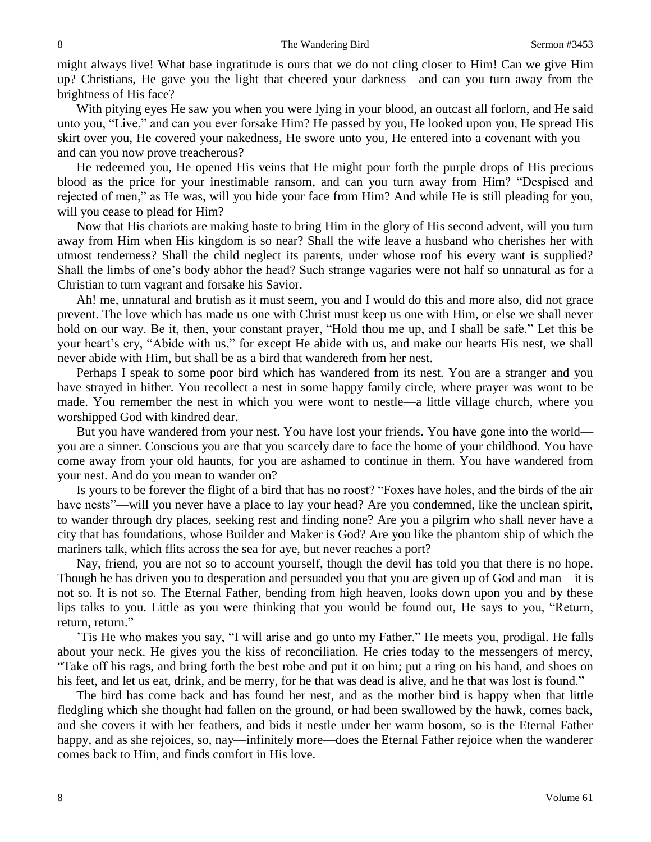might always live! What base ingratitude is ours that we do not cling closer to Him! Can we give Him up? Christians, He gave you the light that cheered your darkness—and can you turn away from the brightness of His face?

With pitying eyes He saw you when you were lying in your blood, an outcast all forlorn, and He said unto you, "Live," and can you ever forsake Him? He passed by you, He looked upon you, He spread His skirt over you, He covered your nakedness, He swore unto you, He entered into a covenant with you and can you now prove treacherous?

He redeemed you, He opened His veins that He might pour forth the purple drops of His precious blood as the price for your inestimable ransom, and can you turn away from Him? "Despised and rejected of men," as He was, will you hide your face from Him? And while He is still pleading for you, will you cease to plead for Him?

Now that His chariots are making haste to bring Him in the glory of His second advent, will you turn away from Him when His kingdom is so near? Shall the wife leave a husband who cherishes her with utmost tenderness? Shall the child neglect its parents, under whose roof his every want is supplied? Shall the limbs of one's body abhor the head? Such strange vagaries were not half so unnatural as for a Christian to turn vagrant and forsake his Savior.

Ah! me, unnatural and brutish as it must seem, you and I would do this and more also, did not grace prevent. The love which has made us one with Christ must keep us one with Him, or else we shall never hold on our way. Be it, then, your constant prayer, "Hold thou me up, and I shall be safe." Let this be your heart's cry, "Abide with us," for except He abide with us, and make our hearts His nest, we shall never abide with Him, but shall be as a bird that wandereth from her nest.

Perhaps I speak to some poor bird which has wandered from its nest. You are a stranger and you have strayed in hither. You recollect a nest in some happy family circle, where prayer was wont to be made. You remember the nest in which you were wont to nestle—a little village church, where you worshipped God with kindred dear.

But you have wandered from your nest. You have lost your friends. You have gone into the world you are a sinner. Conscious you are that you scarcely dare to face the home of your childhood. You have come away from your old haunts, for you are ashamed to continue in them. You have wandered from your nest. And do you mean to wander on?

Is yours to be forever the flight of a bird that has no roost? "Foxes have holes, and the birds of the air have nests"—will you never have a place to lay your head? Are you condemned, like the unclean spirit, to wander through dry places, seeking rest and finding none? Are you a pilgrim who shall never have a city that has foundations, whose Builder and Maker is God? Are you like the phantom ship of which the mariners talk, which flits across the sea for aye, but never reaches a port?

Nay, friend, you are not so to account yourself, though the devil has told you that there is no hope. Though he has driven you to desperation and persuaded you that you are given up of God and man—it is not so. It is not so. The Eternal Father, bending from high heaven, looks down upon you and by these lips talks to you. Little as you were thinking that you would be found out, He says to you, "Return, return, return."

'Tis He who makes you say, "I will arise and go unto my Father." He meets you, prodigal. He falls about your neck. He gives you the kiss of reconciliation. He cries today to the messengers of mercy, "Take off his rags, and bring forth the best robe and put it on him; put a ring on his hand, and shoes on his feet, and let us eat, drink, and be merry, for he that was dead is alive, and he that was lost is found."

The bird has come back and has found her nest, and as the mother bird is happy when that little fledgling which she thought had fallen on the ground, or had been swallowed by the hawk, comes back, and she covers it with her feathers, and bids it nestle under her warm bosom, so is the Eternal Father happy, and as she rejoices, so, nay—infinitely more—does the Eternal Father rejoice when the wanderer comes back to Him, and finds comfort in His love.